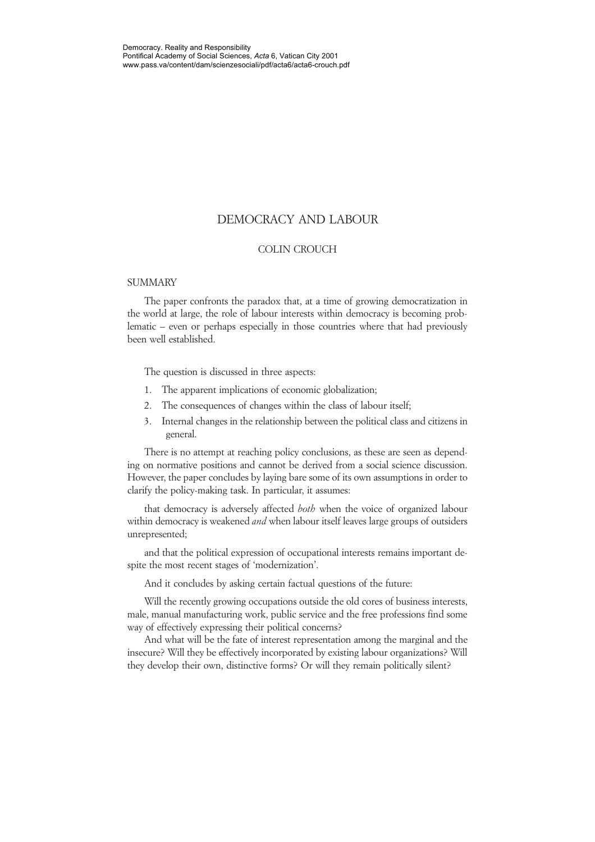## DEMOCRACY AND LABOUR

#### COLIN CROUCH

#### **SUMMARY**

The paper confronts the paradox that, at a time of growing democratization in the world at large, the role of labour interests within democracy is becoming problematic – even or perhaps especially in those countries where that had previously been well established.

The question is discussed in three aspects:

- 1. The apparent implications of economic globalization;
- 2. The consequences of changes within the class of labour itself;
- 3. Internal changes in the relationship between the political class and citizens in general.

There is no attempt at reaching policy conclusions, as these are seen as depending on normative positions and cannot be derived from a social science discussion. However, the paper concludes by laying bare some of its own assumptions in order to clarify the policy-making task. In particular, it assumes:

that democracy is adversely affected *both* when the voice of organized labour within democracy is weakened *and* when labour itself leaves large groups of outsiders unrepresented;

and that the political expression of occupational interests remains important despite the most recent stages of 'modernization'.

And it concludes by asking certain factual questions of the future:

Will the recently growing occupations outside the old cores of business interests, male, manual manufacturing work, public service and the free professions find some way of effectively expressing their political concerns?

And what will be the fate of interest representation among the marginal and the insecure? Will they be effectively incorporated by existing labour organizations? Will they develop their own, distinctive forms? Or will they remain politically silent?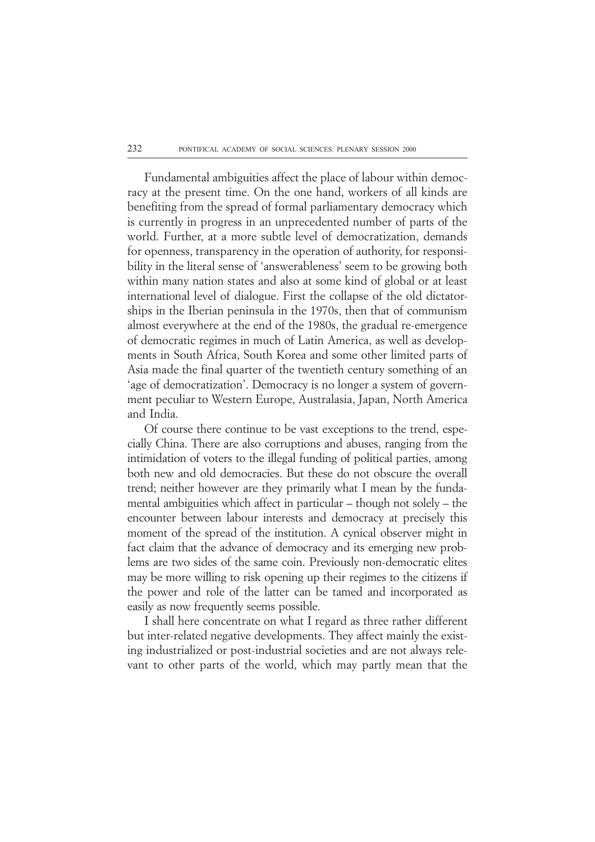Fundamental ambiguities affect the place of labour within democracy at the present time. On the one hand, workers of all kinds are benefiting from the spread of formal parliamentary democracy which is currently in progress in an unprecedented number of parts of the world. Further, at a more subtle level of democratization, demands for openness, transparency in the operation of authority, for responsibility in the literal sense of 'answerableness' seem to be growing both within many nation states and also at some kind of global or at least international level of dialogue. First the collapse of the old dictatorships in the Iberian peninsula in the 1970s, then that of communism almost everywhere at the end of the 1980s, the gradual re-emergence of democratic regimes in much of Latin America, as well as developments in South Africa, South Korea and some other limited parts of Asia made the final quarter of the twentieth century something of an 'age of democratization'. Democracy is no longer a system of government peculiar to Western Europe, Australasia, Japan, North America and India.

Of course there continue to be vast exceptions to the trend, especially China. There are also corruptions and abuses, ranging from the intimidation of voters to the illegal funding of political parties, among both new and old democracies. But these do not obscure the overall trend; neither however are they primarily what I mean by the fundamental ambiguities which affect in particular – though not solely – the encounter between labour interests and democracy at precisely this moment of the spread of the institution. A cynical observer might in fact claim that the advance of democracy and its emerging new problems are two sides of the same coin. Previously non-democratic elites may be more willing to risk opening up their regimes to the citizens if the power and role of the latter can be tamed and incorporated as easily as now frequently seems possible.

I shall here concentrate on what I regard as three rather different but inter-related negative developments. They affect mainly the existing industrialized or post-industrial societies and are not always relevant to other parts of the world, which may partly mean that the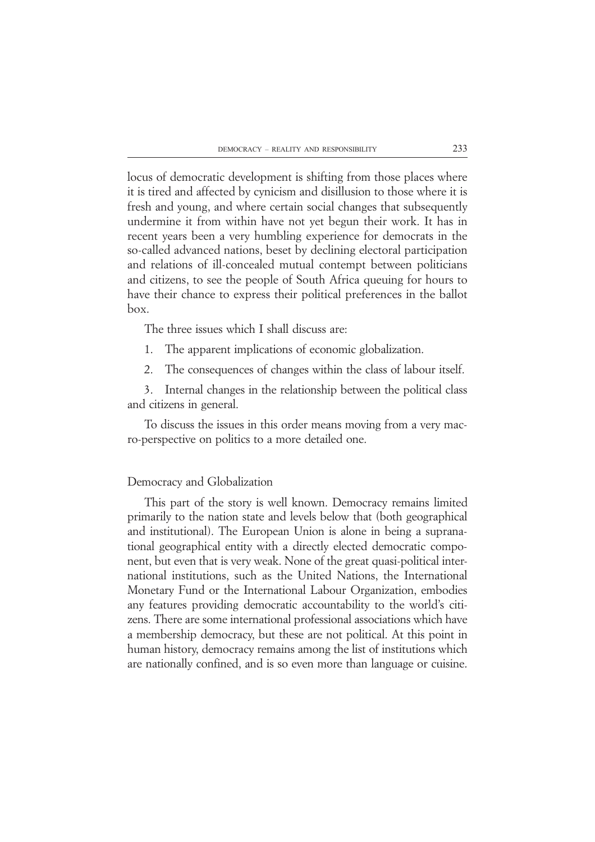locus of democratic development is shifting from those places where it is tired and affected by cynicism and disillusion to those where it is fresh and young, and where certain social changes that subsequently undermine it from within have not yet begun their work. It has in recent years been a very humbling experience for democrats in the so-called advanced nations, beset by declining electoral participation and relations of ill-concealed mutual contempt between politicians and citizens, to see the people of South Africa queuing for hours to have their chance to express their political preferences in the ballot box.

The three issues which I shall discuss are:

1. The apparent implications of economic globalization.

2. The consequences of changes within the class of labour itself.

3. Internal changes in the relationship between the political class and citizens in general.

To discuss the issues in this order means moving from a very macro-perspective on politics to a more detailed one.

# Democracy and Globalization

This part of the story is well known. Democracy remains limited primarily to the nation state and levels below that (both geographical and institutional). The European Union is alone in being a supranational geographical entity with a directly elected democratic component, but even that is very weak. None of the great quasi-political international institutions, such as the United Nations, the International Monetary Fund or the International Labour Organization, embodies any features providing democratic accountability to the world's citizens. There are some international professional associations which have a membership democracy, but these are not political. At this point in human history, democracy remains among the list of institutions which are nationally confined, and is so even more than language or cuisine.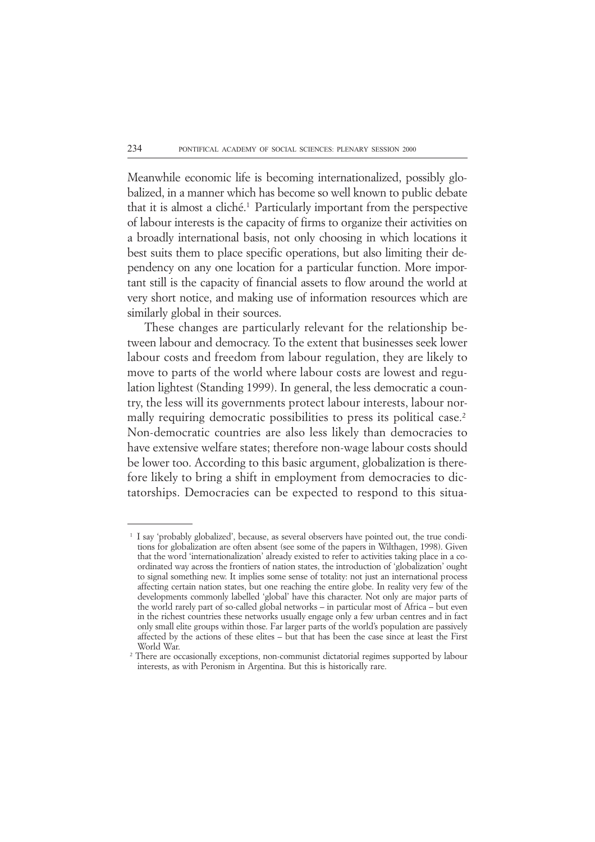Meanwhile economic life is becoming internationalized, possibly globalized, in a manner which has become so well known to public debate that it is almost a cliché.1 Particularly important from the perspective of labour interests is the capacity of firms to organize their activities on a broadly international basis, not only choosing in which locations it best suits them to place specific operations, but also limiting their dependency on any one location for a particular function. More important still is the capacity of financial assets to flow around the world at very short notice, and making use of information resources which are similarly global in their sources.

These changes are particularly relevant for the relationship between labour and democracy. To the extent that businesses seek lower labour costs and freedom from labour regulation, they are likely to move to parts of the world where labour costs are lowest and regulation lightest (Standing 1999). In general, the less democratic a country, the less will its governments protect labour interests, labour normally requiring democratic possibilities to press its political case.<sup>2</sup> Non-democratic countries are also less likely than democracies to have extensive welfare states; therefore non-wage labour costs should be lower too. According to this basic argument, globalization is therefore likely to bring a shift in employment from democracies to dictatorships. Democracies can be expected to respond to this situa-

I say 'probably globalized', because, as several observers have pointed out, the true conditions for globalization are often absent (see some of the papers in Wilthagen, 1998). Given that the word 'internationalization' already existed to refer to activities taking place in a coordinated way across the frontiers of nation states, the introduction of 'globalization' ought to signal something new. It implies some sense of totality: not just an international process affecting certain nation states, but one reaching the entire globe. In reality very few of the developments commonly labelled 'global' have this character. Not only are major parts of the world rarely part of so-called global networks – in particular most of Africa – but even in the richest countries these networks usually engage only a few urban centres and in fact only small elite groups within those. Far larger parts of the world's population are passively affected by the actions of these elites – but that has been the case since at least the First World War.

<sup>&</sup>lt;sup>2</sup> There are occasionally exceptions, non-communist dictatorial regimes supported by labour interests, as with Peronism in Argentina. But this is historically rare.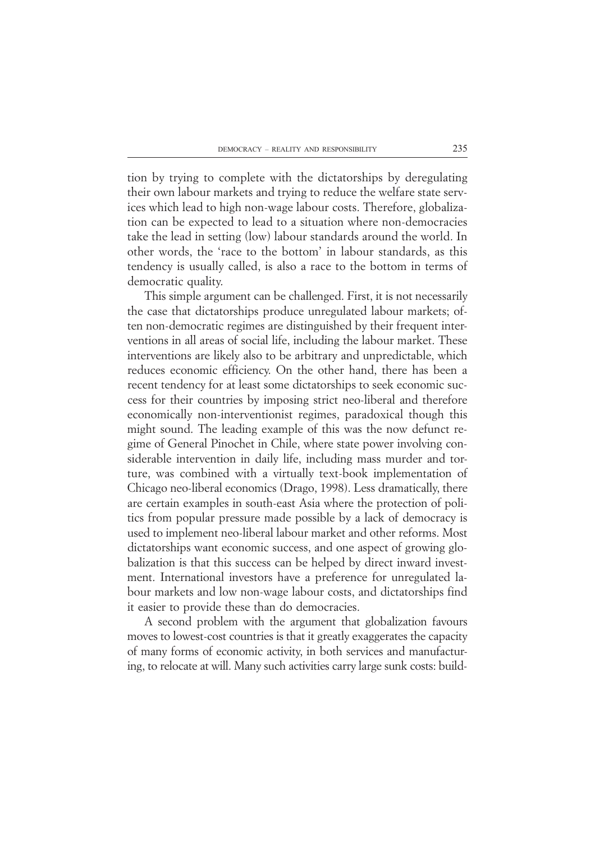tion by trying to complete with the dictatorships by deregulating their own labour markets and trying to reduce the welfare state services which lead to high non-wage labour costs. Therefore, globalization can be expected to lead to a situation where non-democracies take the lead in setting (low) labour standards around the world. In other words, the 'race to the bottom' in labour standards, as this tendency is usually called, is also a race to the bottom in terms of democratic quality.

This simple argument can be challenged. First, it is not necessarily the case that dictatorships produce unregulated labour markets; often non-democratic regimes are distinguished by their frequent interventions in all areas of social life, including the labour market. These interventions are likely also to be arbitrary and unpredictable, which reduces economic efficiency. On the other hand, there has been a recent tendency for at least some dictatorships to seek economic success for their countries by imposing strict neo-liberal and therefore economically non-interventionist regimes, paradoxical though this might sound. The leading example of this was the now defunct regime of General Pinochet in Chile, where state power involving considerable intervention in daily life, including mass murder and torture, was combined with a virtually text-book implementation of Chicago neo-liberal economics (Drago, 1998). Less dramatically, there are certain examples in south-east Asia where the protection of politics from popular pressure made possible by a lack of democracy is used to implement neo-liberal labour market and other reforms. Most dictatorships want economic success, and one aspect of growing globalization is that this success can be helped by direct inward investment. International investors have a preference for unregulated labour markets and low non-wage labour costs, and dictatorships find it easier to provide these than do democracies.

A second problem with the argument that globalization favours moves to lowest-cost countries is that it greatly exaggerates the capacity of many forms of economic activity, in both services and manufacturing, to relocate at will. Many such activities carry large sunk costs: build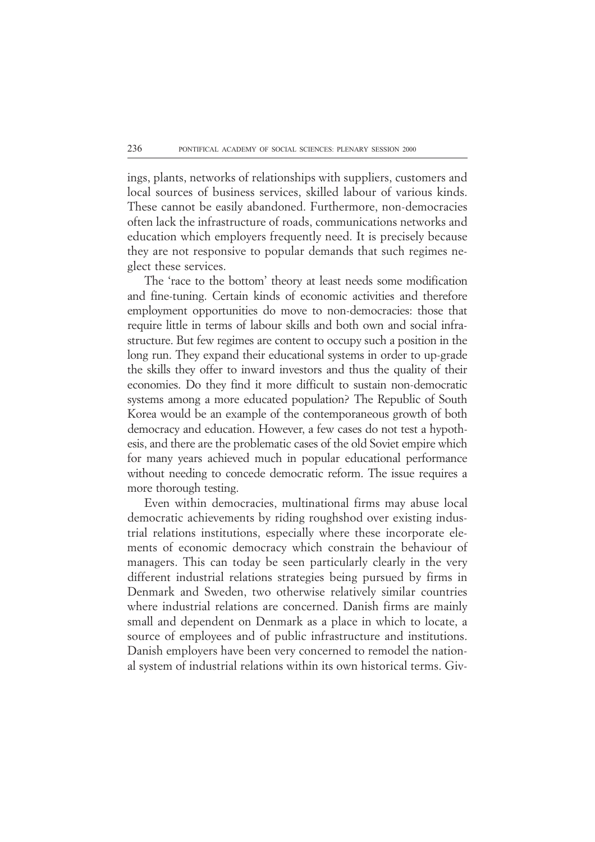ings, plants, networks of relationships with suppliers, customers and local sources of business services, skilled labour of various kinds. These cannot be easily abandoned. Furthermore, non-democracies often lack the infrastructure of roads, communications networks and education which employers frequently need. It is precisely because they are not responsive to popular demands that such regimes neglect these services.

The 'race to the bottom' theory at least needs some modification and fine-tuning. Certain kinds of economic activities and therefore employment opportunities do move to non-democracies: those that require little in terms of labour skills and both own and social infrastructure. But few regimes are content to occupy such a position in the long run. They expand their educational systems in order to up-grade the skills they offer to inward investors and thus the quality of their economies. Do they find it more difficult to sustain non-democratic systems among a more educated population? The Republic of South Korea would be an example of the contemporaneous growth of both democracy and education. However, a few cases do not test a hypothesis, and there are the problematic cases of the old Soviet empire which for many years achieved much in popular educational performance without needing to concede democratic reform. The issue requires a more thorough testing.

Even within democracies, multinational firms may abuse local democratic achievements by riding roughshod over existing industrial relations institutions, especially where these incorporate elements of economic democracy which constrain the behaviour of managers. This can today be seen particularly clearly in the very different industrial relations strategies being pursued by firms in Denmark and Sweden, two otherwise relatively similar countries where industrial relations are concerned. Danish firms are mainly small and dependent on Denmark as a place in which to locate, a source of employees and of public infrastructure and institutions. Danish employers have been very concerned to remodel the national system of industrial relations within its own historical terms. Giv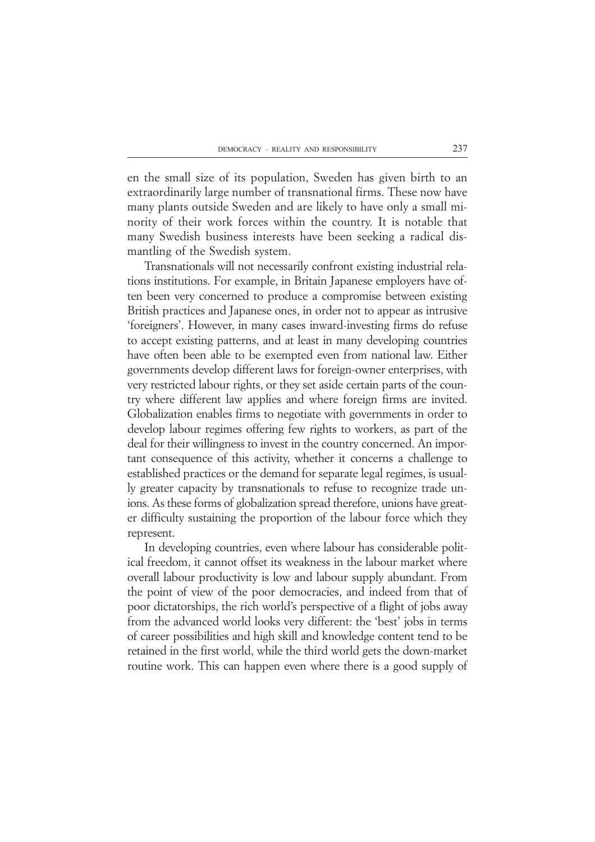en the small size of its population, Sweden has given birth to an extraordinarily large number of transnational firms. These now have many plants outside Sweden and are likely to have only a small minority of their work forces within the country. It is notable that many Swedish business interests have been seeking a radical dismantling of the Swedish system.

Transnationals will not necessarily confront existing industrial relations institutions. For example, in Britain Japanese employers have often been very concerned to produce a compromise between existing British practices and Japanese ones, in order not to appear as intrusive 'foreigners'. However, in many cases inward-investing firms do refuse to accept existing patterns, and at least in many developing countries have often been able to be exempted even from national law. Either governments develop different laws for foreign-owner enterprises, with very restricted labour rights, or they set aside certain parts of the country where different law applies and where foreign firms are invited. Globalization enables firms to negotiate with governments in order to develop labour regimes offering few rights to workers, as part of the deal for their willingness to invest in the country concerned. An important consequence of this activity, whether it concerns a challenge to established practices or the demand for separate legal regimes, is usually greater capacity by transnationals to refuse to recognize trade unions. As these forms of globalization spread therefore, unions have greater difficulty sustaining the proportion of the labour force which they represent.

In developing countries, even where labour has considerable political freedom, it cannot offset its weakness in the labour market where overall labour productivity is low and labour supply abundant. From the point of view of the poor democracies, and indeed from that of poor dictatorships, the rich world's perspective of a flight of jobs away from the advanced world looks very different: the 'best' jobs in terms of career possibilities and high skill and knowledge content tend to be retained in the first world, while the third world gets the down-market routine work. This can happen even where there is a good supply of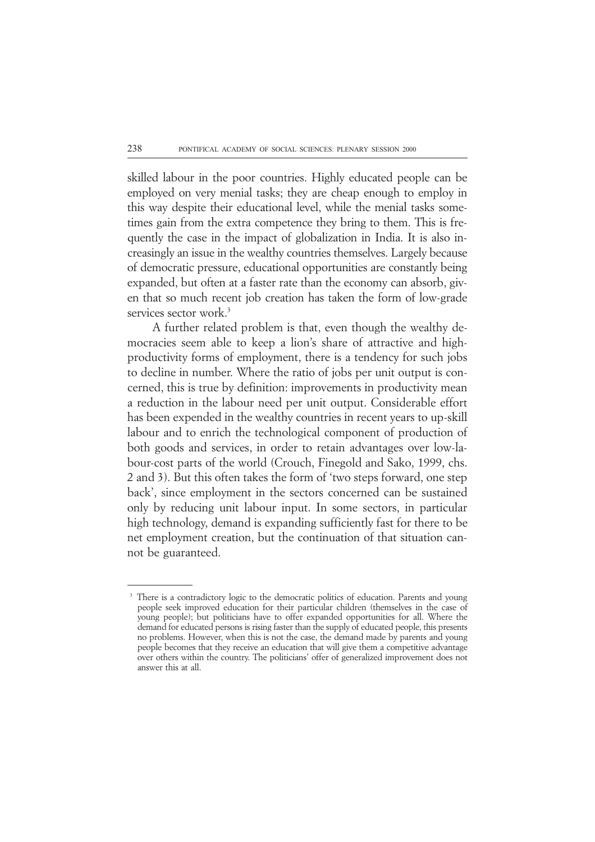skilled labour in the poor countries. Highly educated people can be employed on very menial tasks; they are cheap enough to employ in this way despite their educational level, while the menial tasks sometimes gain from the extra competence they bring to them. This is frequently the case in the impact of globalization in India. It is also increasingly an issue in the wealthy countries themselves. Largely because of democratic pressure, educational opportunities are constantly being expanded, but often at a faster rate than the economy can absorb, given that so much recent job creation has taken the form of low-grade services sector work.<sup>3</sup>

 A further related problem is that, even though the wealthy democracies seem able to keep a lion's share of attractive and highproductivity forms of employment, there is a tendency for such jobs to decline in number. Where the ratio of jobs per unit output is concerned, this is true by definition: improvements in productivity mean a reduction in the labour need per unit output. Considerable effort has been expended in the wealthy countries in recent years to up-skill labour and to enrich the technological component of production of both goods and services, in order to retain advantages over low-labour-cost parts of the world (Crouch, Finegold and Sako, 1999, chs. 2 and 3). But this often takes the form of 'two steps forward, one step back', since employment in the sectors concerned can be sustained only by reducing unit labour input. In some sectors, in particular high technology, demand is expanding sufficiently fast for there to be net employment creation, but the continuation of that situation cannot be guaranteed.

There is a contradictory logic to the democratic politics of education. Parents and young people seek improved education for their particular children (themselves in the case of young people); but politicians have to offer expanded opportunities for all. Where the demand for educated persons is rising faster than the supply of educated people, this presents no problems. However, when this is not the case, the demand made by parents and young people becomes that they receive an education that will give them a competitive advantage over others within the country. The politicians' offer of generalized improvement does not answer this at all.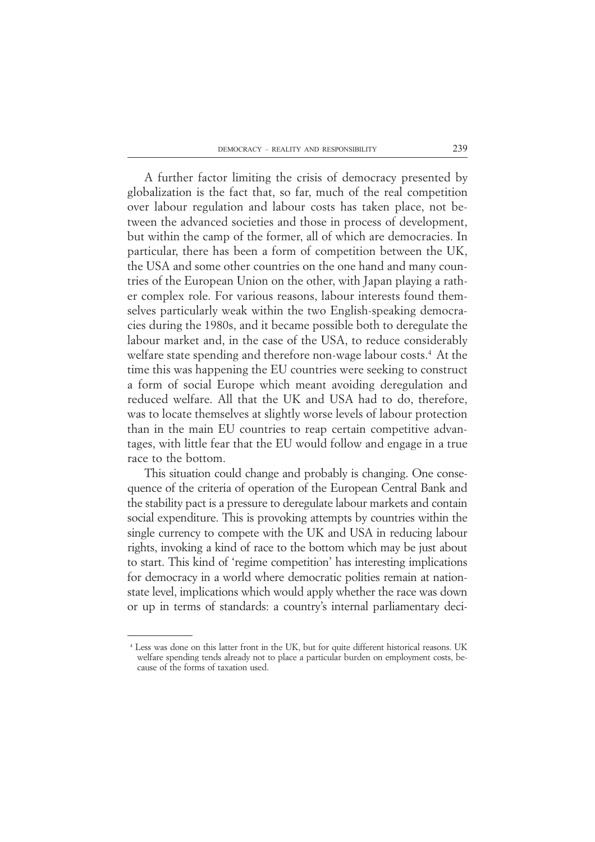A further factor limiting the crisis of democracy presented by globalization is the fact that, so far, much of the real competition over labour regulation and labour costs has taken place, not between the advanced societies and those in process of development, but within the camp of the former, all of which are democracies. In particular, there has been a form of competition between the UK, the USA and some other countries on the one hand and many countries of the European Union on the other, with Japan playing a rather complex role. For various reasons, labour interests found themselves particularly weak within the two English-speaking democracies during the 1980s, and it became possible both to deregulate the labour market and, in the case of the USA, to reduce considerably welfare state spending and therefore non-wage labour costs.<sup>4</sup> At the time this was happening the EU countries were seeking to construct a form of social Europe which meant avoiding deregulation and reduced welfare. All that the UK and USA had to do, therefore, was to locate themselves at slightly worse levels of labour protection than in the main EU countries to reap certain competitive advantages, with little fear that the EU would follow and engage in a true race to the bottom.

This situation could change and probably is changing. One consequence of the criteria of operation of the European Central Bank and the stability pact is a pressure to deregulate labour markets and contain social expenditure. This is provoking attempts by countries within the single currency to compete with the UK and USA in reducing labour rights, invoking a kind of race to the bottom which may be just about to start. This kind of 'regime competition' has interesting implications for democracy in a world where democratic polities remain at nationstate level, implications which would apply whether the race was down or up in terms of standards: a country's internal parliamentary deci-

<sup>24</sup> Less was done on this latter front in the UK, but for quite different historical reasons. UK welfare spending tends already not to place a particular burden on employment costs, because of the forms of taxation used.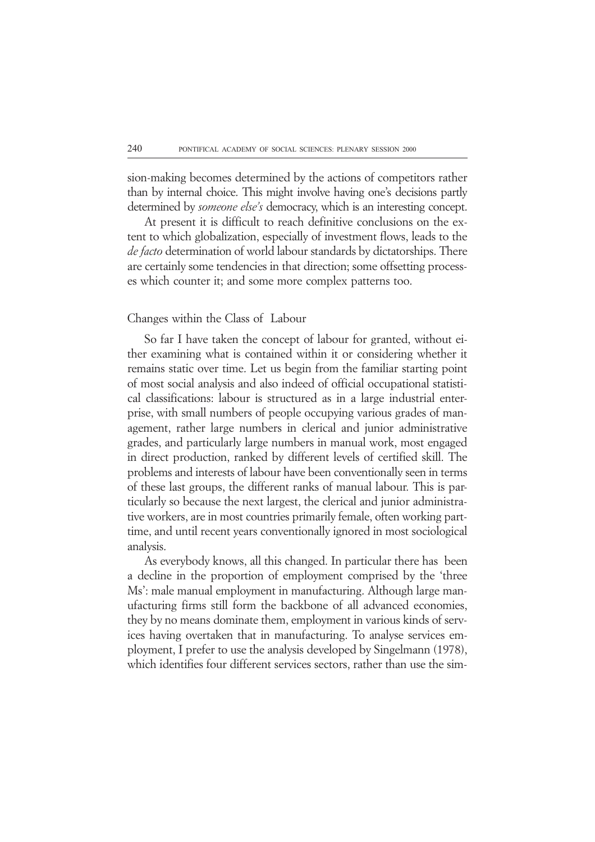sion-making becomes determined by the actions of competitors rather than by internal choice. This might involve having one's decisions partly determined by *someone else's* democracy, which is an interesting concept.

At present it is difficult to reach definitive conclusions on the extent to which globalization, especially of investment flows, leads to the *de facto* determination of world labour standards by dictatorships. There are certainly some tendencies in that direction; some offsetting processes which counter it; and some more complex patterns too.

#### Changes within the Class of Labour

So far I have taken the concept of labour for granted, without either examining what is contained within it or considering whether it remains static over time. Let us begin from the familiar starting point of most social analysis and also indeed of official occupational statistical classifications: labour is structured as in a large industrial enterprise, with small numbers of people occupying various grades of management, rather large numbers in clerical and junior administrative grades, and particularly large numbers in manual work, most engaged in direct production, ranked by different levels of certified skill. The problems and interests of labour have been conventionally seen in terms of these last groups, the different ranks of manual labour. This is particularly so because the next largest, the clerical and junior administrative workers, are in most countries primarily female, often working parttime, and until recent years conventionally ignored in most sociological analysis.

As everybody knows, all this changed. In particular there has been a decline in the proportion of employment comprised by the 'three Ms': male manual employment in manufacturing. Although large manufacturing firms still form the backbone of all advanced economies, they by no means dominate them, employment in various kinds of services having overtaken that in manufacturing. To analyse services employment, I prefer to use the analysis developed by Singelmann (1978), which identifies four different services sectors, rather than use the sim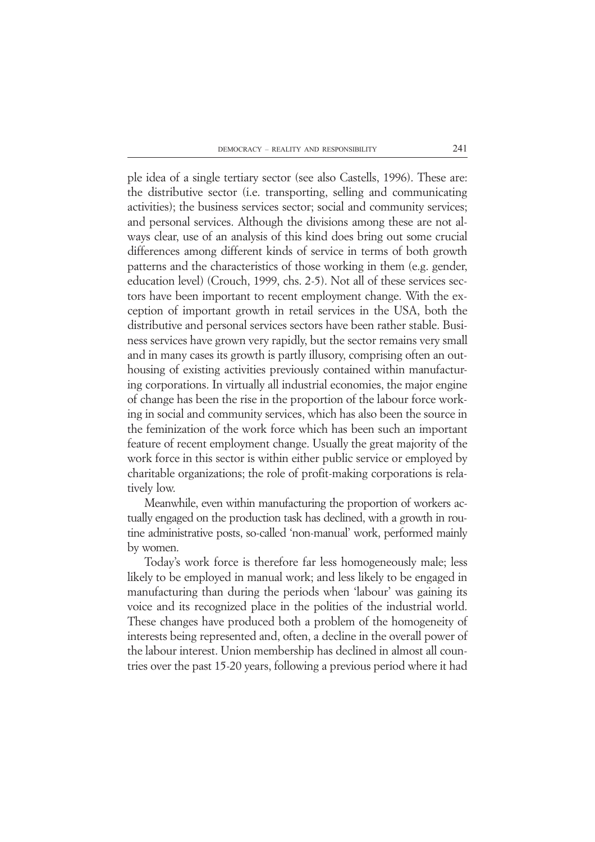ple idea of a single tertiary sector (see also Castells, 1996). These are: the distributive sector (i.e. transporting, selling and communicating activities); the business services sector; social and community services; and personal services. Although the divisions among these are not always clear, use of an analysis of this kind does bring out some crucial differences among different kinds of service in terms of both growth patterns and the characteristics of those working in them (e.g. gender, education level) (Crouch, 1999, chs. 2-5). Not all of these services sectors have been important to recent employment change. With the exception of important growth in retail services in the USA, both the distributive and personal services sectors have been rather stable. Business services have grown very rapidly, but the sector remains very small and in many cases its growth is partly illusory, comprising often an outhousing of existing activities previously contained within manufacturing corporations. In virtually all industrial economies, the major engine of change has been the rise in the proportion of the labour force working in social and community services, which has also been the source in the feminization of the work force which has been such an important feature of recent employment change. Usually the great majority of the work force in this sector is within either public service or employed by charitable organizations; the role of profit-making corporations is relatively low.

Meanwhile, even within manufacturing the proportion of workers actually engaged on the production task has declined, with a growth in routine administrative posts, so-called 'non-manual' work, performed mainly by women.

Today's work force is therefore far less homogeneously male; less likely to be employed in manual work; and less likely to be engaged in manufacturing than during the periods when 'labour' was gaining its voice and its recognized place in the polities of the industrial world. These changes have produced both a problem of the homogeneity of interests being represented and, often, a decline in the overall power of the labour interest. Union membership has declined in almost all countries over the past 15-20 years, following a previous period where it had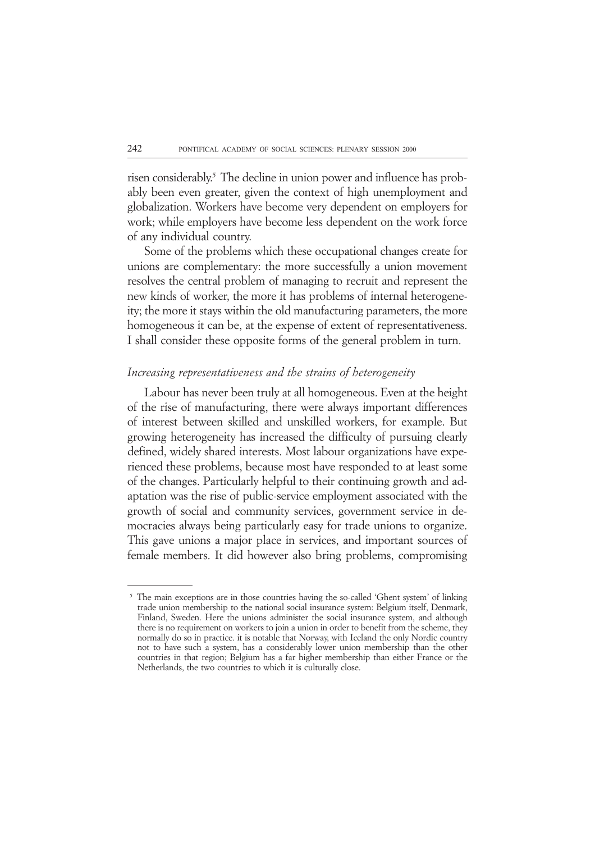risen considerably.<sup>5</sup> The decline in union power and influence has probably been even greater, given the context of high unemployment and globalization. Workers have become very dependent on employers for work; while employers have become less dependent on the work force of any individual country.

Some of the problems which these occupational changes create for unions are complementary: the more successfully a union movement resolves the central problem of managing to recruit and represent the new kinds of worker, the more it has problems of internal heterogeneity; the more it stays within the old manufacturing parameters, the more homogeneous it can be, at the expense of extent of representativeness. I shall consider these opposite forms of the general problem in turn.

### *Increasing representativeness and the strains of heterogeneity*

Labour has never been truly at all homogeneous. Even at the height of the rise of manufacturing, there were always important differences of interest between skilled and unskilled workers, for example. But growing heterogeneity has increased the difficulty of pursuing clearly defined, widely shared interests. Most labour organizations have experienced these problems, because most have responded to at least some of the changes. Particularly helpful to their continuing growth and adaptation was the rise of public-service employment associated with the growth of social and community services, government service in democracies always being particularly easy for trade unions to organize. This gave unions a major place in services, and important sources of female members. It did however also bring problems, compromising

 $5<sup>5</sup>$  The main exceptions are in those countries having the so-called 'Ghent system' of linking trade union membership to the national social insurance system: Belgium itself, Denmark, Finland, Sweden. Here the unions administer the social insurance system, and although there is no requirement on workers to join a union in order to benefit from the scheme, they normally do so in practice. it is notable that Norway, with Iceland the only Nordic country not to have such a system, has a considerably lower union membership than the other countries in that region; Belgium has a far higher membership than either France or the Netherlands, the two countries to which it is culturally close.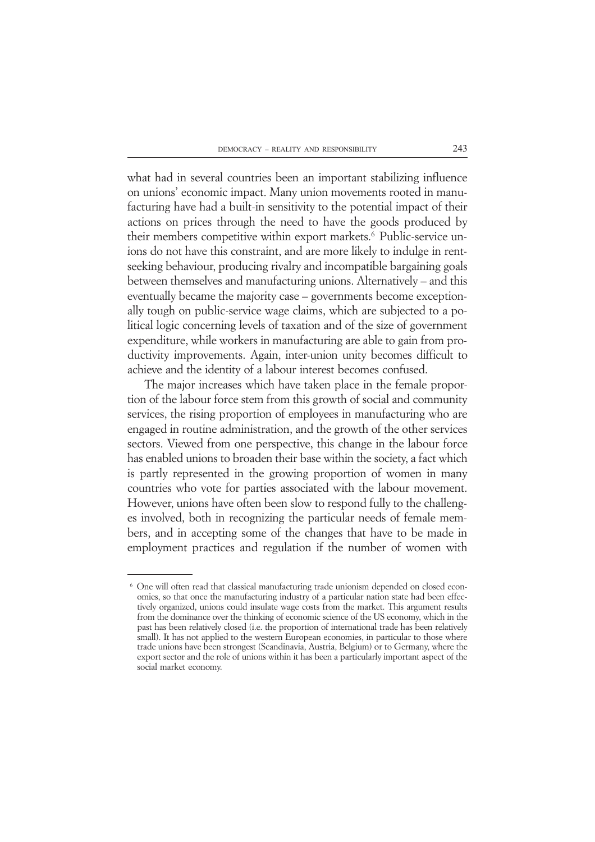what had in several countries been an important stabilizing influence on unions' economic impact. Many union movements rooted in manufacturing have had a built-in sensitivity to the potential impact of their actions on prices through the need to have the goods produced by their members competitive within export markets.<sup>6</sup> Public-service unions do not have this constraint, and are more likely to indulge in rentseeking behaviour, producing rivalry and incompatible bargaining goals between themselves and manufacturing unions. Alternatively – and this eventually became the majority case – governments become exceptionally tough on public-service wage claims, which are subjected to a political logic concerning levels of taxation and of the size of government expenditure, while workers in manufacturing are able to gain from productivity improvements. Again, inter-union unity becomes difficult to achieve and the identity of a labour interest becomes confused.

The major increases which have taken place in the female proportion of the labour force stem from this growth of social and community services, the rising proportion of employees in manufacturing who are engaged in routine administration, and the growth of the other services sectors. Viewed from one perspective, this change in the labour force has enabled unions to broaden their base within the society, a fact which is partly represented in the growing proportion of women in many countries who vote for parties associated with the labour movement. However, unions have often been slow to respond fully to the challenges involved, both in recognizing the particular needs of female members, and in accepting some of the changes that have to be made in employment practices and regulation if the number of women with

<sup>&</sup>lt;sup>6</sup> One will often read that classical manufacturing trade unionism depended on closed economies, so that once the manufacturing industry of a particular nation state had been effectively organized, unions could insulate wage costs from the market. This argument results from the dominance over the thinking of economic science of the US economy, which in the past has been relatively closed (i.e. the proportion of international trade has been relatively small). It has not applied to the western European economies, in particular to those where trade unions have been strongest (Scandinavia, Austria, Belgium) or to Germany, where the export sector and the role of unions within it has been a particularly important aspect of the social market economy.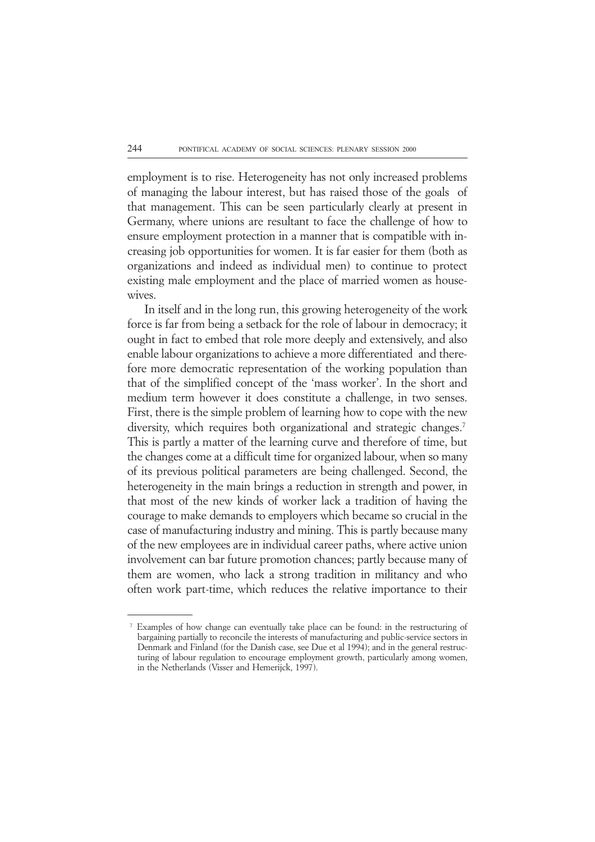employment is to rise. Heterogeneity has not only increased problems of managing the labour interest, but has raised those of the goals of that management. This can be seen particularly clearly at present in Germany, where unions are resultant to face the challenge of how to ensure employment protection in a manner that is compatible with increasing job opportunities for women. It is far easier for them (both as organizations and indeed as individual men) to continue to protect existing male employment and the place of married women as housewives.

In itself and in the long run, this growing heterogeneity of the work force is far from being a setback for the role of labour in democracy; it ought in fact to embed that role more deeply and extensively, and also enable labour organizations to achieve a more differentiated and therefore more democratic representation of the working population than that of the simplified concept of the 'mass worker'. In the short and medium term however it does constitute a challenge, in two senses. First, there is the simple problem of learning how to cope with the new diversity, which requires both organizational and strategic changes.<sup>7</sup> This is partly a matter of the learning curve and therefore of time, but the changes come at a difficult time for organized labour, when so many of its previous political parameters are being challenged. Second, the heterogeneity in the main brings a reduction in strength and power, in that most of the new kinds of worker lack a tradition of having the courage to make demands to employers which became so crucial in the case of manufacturing industry and mining. This is partly because many of the new employees are in individual career paths, where active union involvement can bar future promotion chances; partly because many of them are women, who lack a strong tradition in militancy and who often work part-time, which reduces the relative importance to their

<sup>17</sup> Examples of how change can eventually take place can be found: in the restructuring of bargaining partially to reconcile the interests of manufacturing and public-service sectors in Denmark and Finland (for the Danish case, see Due et al 1994); and in the general restructuring of labour regulation to encourage employment growth, particularly among women, in the Netherlands (Visser and Hemerijck, 1997).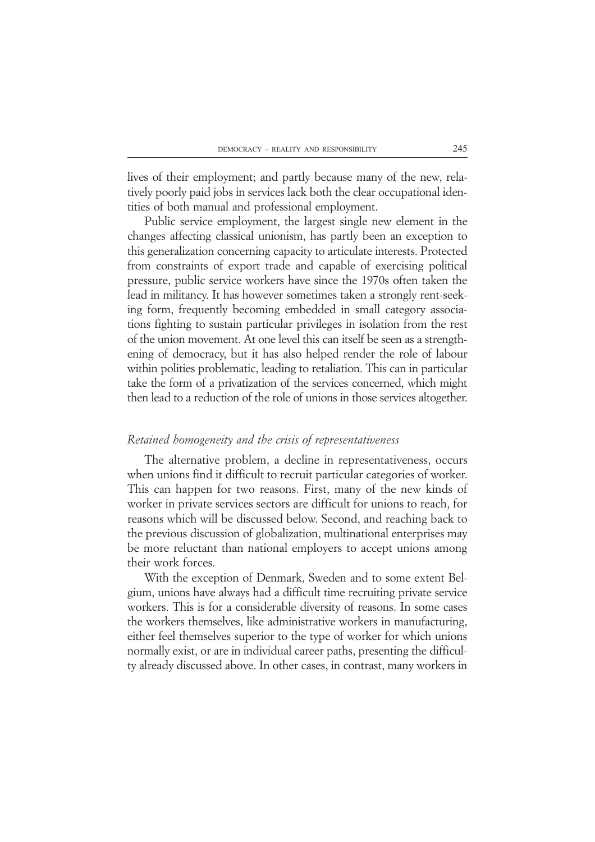lives of their employment; and partly because many of the new, relatively poorly paid jobs in services lack both the clear occupational identities of both manual and professional employment.

Public service employment, the largest single new element in the changes affecting classical unionism, has partly been an exception to this generalization concerning capacity to articulate interests. Protected from constraints of export trade and capable of exercising political pressure, public service workers have since the 1970s often taken the lead in militancy. It has however sometimes taken a strongly rent-seeking form, frequently becoming embedded in small category associations fighting to sustain particular privileges in isolation from the rest of the union movement. At one level this can itself be seen as a strengthening of democracy, but it has also helped render the role of labour within polities problematic, leading to retaliation. This can in particular take the form of a privatization of the services concerned, which might then lead to a reduction of the role of unions in those services altogether.

## *Retained homogeneity and the crisis of representativeness*

The alternative problem, a decline in representativeness, occurs when unions find it difficult to recruit particular categories of worker. This can happen for two reasons. First, many of the new kinds of worker in private services sectors are difficult for unions to reach, for reasons which will be discussed below. Second, and reaching back to the previous discussion of globalization, multinational enterprises may be more reluctant than national employers to accept unions among their work forces.

With the exception of Denmark, Sweden and to some extent Belgium, unions have always had a difficult time recruiting private service workers. This is for a considerable diversity of reasons. In some cases the workers themselves, like administrative workers in manufacturing, either feel themselves superior to the type of worker for which unions normally exist, or are in individual career paths, presenting the difficulty already discussed above. In other cases, in contrast, many workers in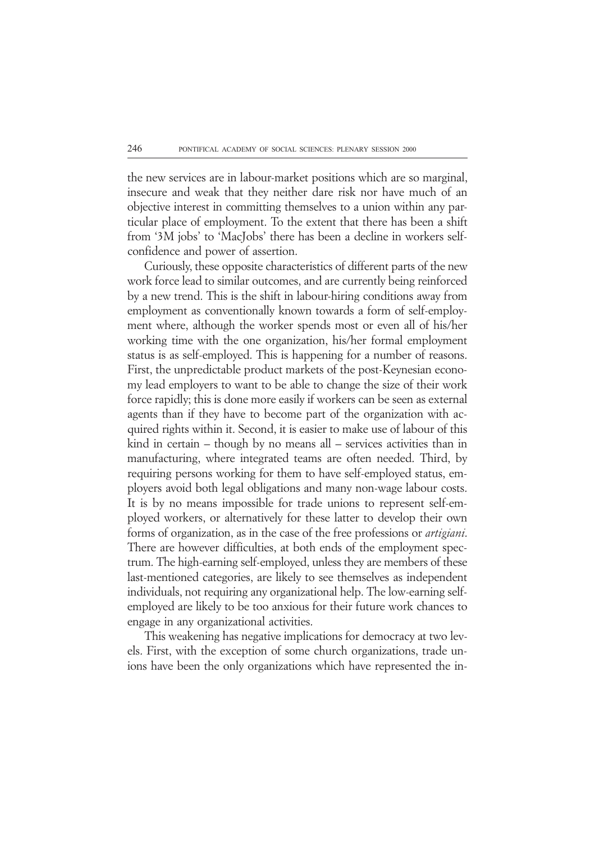the new services are in labour-market positions which are so marginal, insecure and weak that they neither dare risk nor have much of an objective interest in committing themselves to a union within any particular place of employment. To the extent that there has been a shift from '3M jobs' to 'MacJobs' there has been a decline in workers selfconfidence and power of assertion.

Curiously, these opposite characteristics of different parts of the new work force lead to similar outcomes, and are currently being reinforced by a new trend. This is the shift in labour-hiring conditions away from employment as conventionally known towards a form of self-employment where, although the worker spends most or even all of his/her working time with the one organization, his/her formal employment status is as self-employed. This is happening for a number of reasons. First, the unpredictable product markets of the post-Keynesian economy lead employers to want to be able to change the size of their work force rapidly; this is done more easily if workers can be seen as external agents than if they have to become part of the organization with acquired rights within it. Second, it is easier to make use of labour of this kind in certain – though by no means all – services activities than in manufacturing, where integrated teams are often needed. Third, by requiring persons working for them to have self-employed status, employers avoid both legal obligations and many non-wage labour costs. It is by no means impossible for trade unions to represent self-employed workers, or alternatively for these latter to develop their own forms of organization, as in the case of the free professions or *artigiani*. There are however difficulties, at both ends of the employment spectrum. The high-earning self-employed, unless they are members of these last-mentioned categories, are likely to see themselves as independent individuals, not requiring any organizational help. The low-earning selfemployed are likely to be too anxious for their future work chances to engage in any organizational activities.

This weakening has negative implications for democracy at two levels. First, with the exception of some church organizations, trade unions have been the only organizations which have represented the in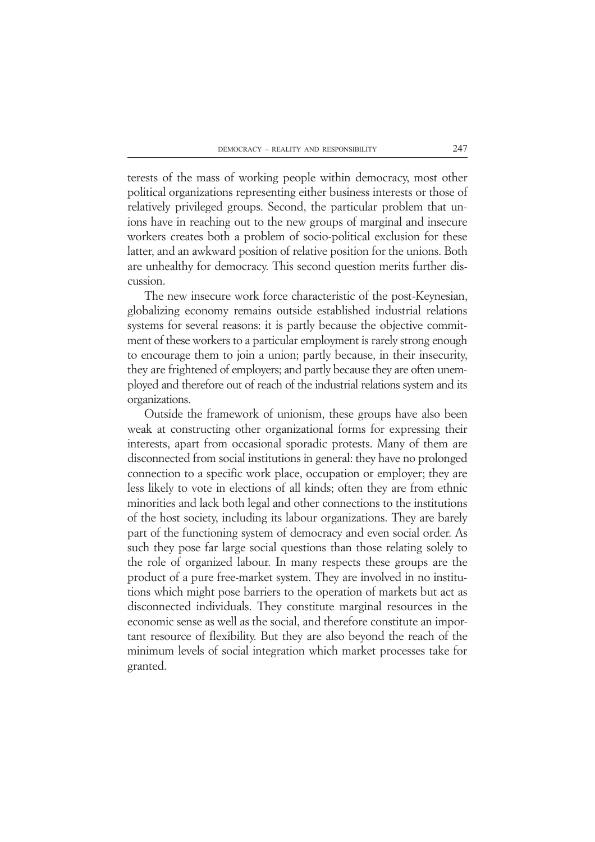terests of the mass of working people within democracy, most other political organizations representing either business interests or those of relatively privileged groups. Second, the particular problem that unions have in reaching out to the new groups of marginal and insecure workers creates both a problem of socio-political exclusion for these latter, and an awkward position of relative position for the unions. Both are unhealthy for democracy. This second question merits further discussion.

The new insecure work force characteristic of the post-Keynesian, globalizing economy remains outside established industrial relations systems for several reasons: it is partly because the objective commitment of these workers to a particular employment is rarely strong enough to encourage them to join a union; partly because, in their insecurity, they are frightened of employers; and partly because they are often unemployed and therefore out of reach of the industrial relations system and its organizations.

Outside the framework of unionism, these groups have also been weak at constructing other organizational forms for expressing their interests, apart from occasional sporadic protests. Many of them are disconnected from social institutions in general: they have no prolonged connection to a specific work place, occupation or employer; they are less likely to vote in elections of all kinds; often they are from ethnic minorities and lack both legal and other connections to the institutions of the host society, including its labour organizations. They are barely part of the functioning system of democracy and even social order. As such they pose far large social questions than those relating solely to the role of organized labour. In many respects these groups are the product of a pure free-market system. They are involved in no institutions which might pose barriers to the operation of markets but act as disconnected individuals. They constitute marginal resources in the economic sense as well as the social, and therefore constitute an important resource of flexibility. But they are also beyond the reach of the minimum levels of social integration which market processes take for granted.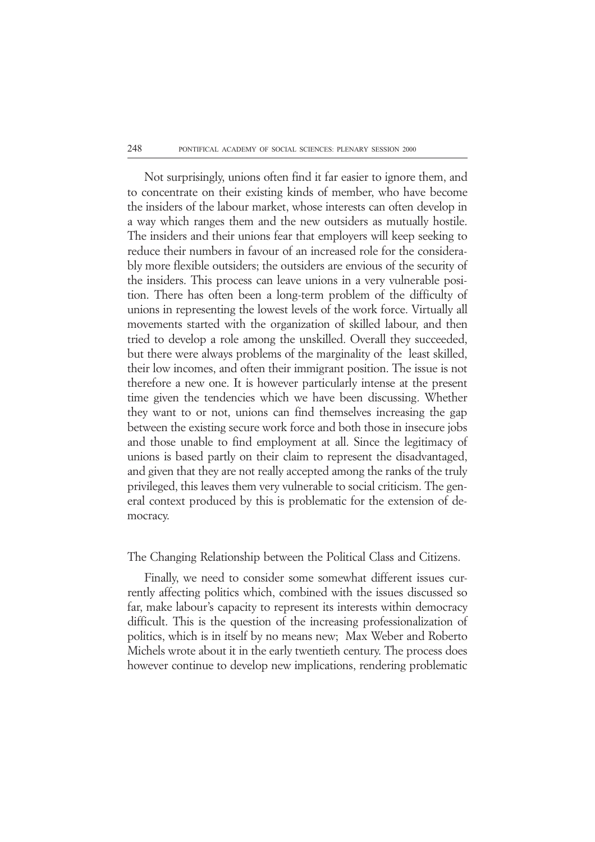Not surprisingly, unions often find it far easier to ignore them, and to concentrate on their existing kinds of member, who have become the insiders of the labour market, whose interests can often develop in a way which ranges them and the new outsiders as mutually hostile. The insiders and their unions fear that employers will keep seeking to reduce their numbers in favour of an increased role for the considerably more flexible outsiders; the outsiders are envious of the security of the insiders. This process can leave unions in a very vulnerable position. There has often been a long-term problem of the difficulty of unions in representing the lowest levels of the work force. Virtually all movements started with the organization of skilled labour, and then tried to develop a role among the unskilled. Overall they succeeded, but there were always problems of the marginality of the least skilled, their low incomes, and often their immigrant position. The issue is not therefore a new one. It is however particularly intense at the present time given the tendencies which we have been discussing. Whether they want to or not, unions can find themselves increasing the gap between the existing secure work force and both those in insecure jobs and those unable to find employment at all. Since the legitimacy of unions is based partly on their claim to represent the disadvantaged, and given that they are not really accepted among the ranks of the truly privileged, this leaves them very vulnerable to social criticism. The general context produced by this is problematic for the extension of democracy.

The Changing Relationship between the Political Class and Citizens.

Finally, we need to consider some somewhat different issues currently affecting politics which, combined with the issues discussed so far, make labour's capacity to represent its interests within democracy difficult. This is the question of the increasing professionalization of politics, which is in itself by no means new; Max Weber and Roberto Michels wrote about it in the early twentieth century. The process does however continue to develop new implications, rendering problematic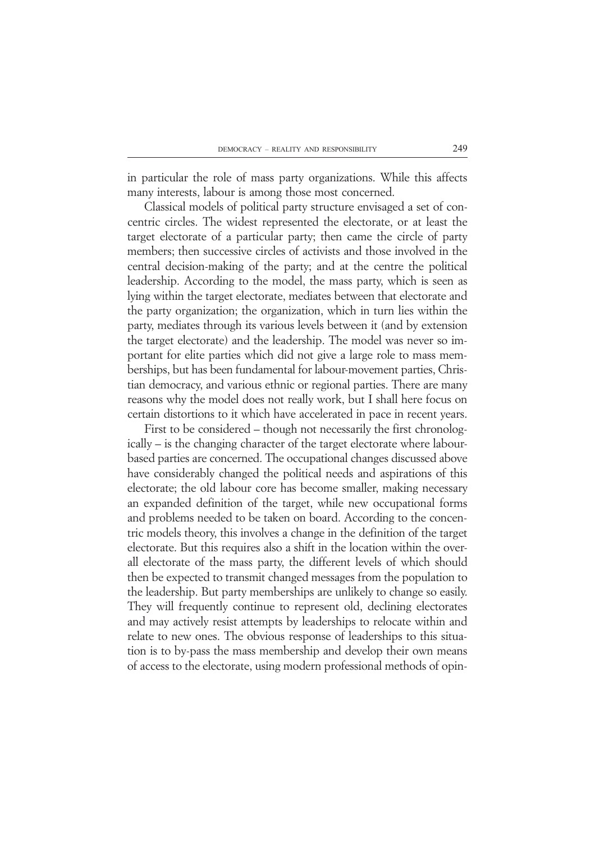in particular the role of mass party organizations. While this affects many interests, labour is among those most concerned.

Classical models of political party structure envisaged a set of concentric circles. The widest represented the electorate, or at least the target electorate of a particular party; then came the circle of party members; then successive circles of activists and those involved in the central decision-making of the party; and at the centre the political leadership. According to the model, the mass party, which is seen as lying within the target electorate, mediates between that electorate and the party organization; the organization, which in turn lies within the party, mediates through its various levels between it (and by extension the target electorate) and the leadership. The model was never so important for elite parties which did not give a large role to mass memberships, but has been fundamental for labour-movement parties, Christian democracy, and various ethnic or regional parties. There are many reasons why the model does not really work, but I shall here focus on certain distortions to it which have accelerated in pace in recent years.

First to be considered – though not necessarily the first chronologically – is the changing character of the target electorate where labourbased parties are concerned. The occupational changes discussed above have considerably changed the political needs and aspirations of this electorate; the old labour core has become smaller, making necessary an expanded definition of the target, while new occupational forms and problems needed to be taken on board. According to the concentric models theory, this involves a change in the definition of the target electorate. But this requires also a shift in the location within the overall electorate of the mass party, the different levels of which should then be expected to transmit changed messages from the population to the leadership. But party memberships are unlikely to change so easily. They will frequently continue to represent old, declining electorates and may actively resist attempts by leaderships to relocate within and relate to new ones. The obvious response of leaderships to this situation is to by-pass the mass membership and develop their own means of access to the electorate, using modern professional methods of opin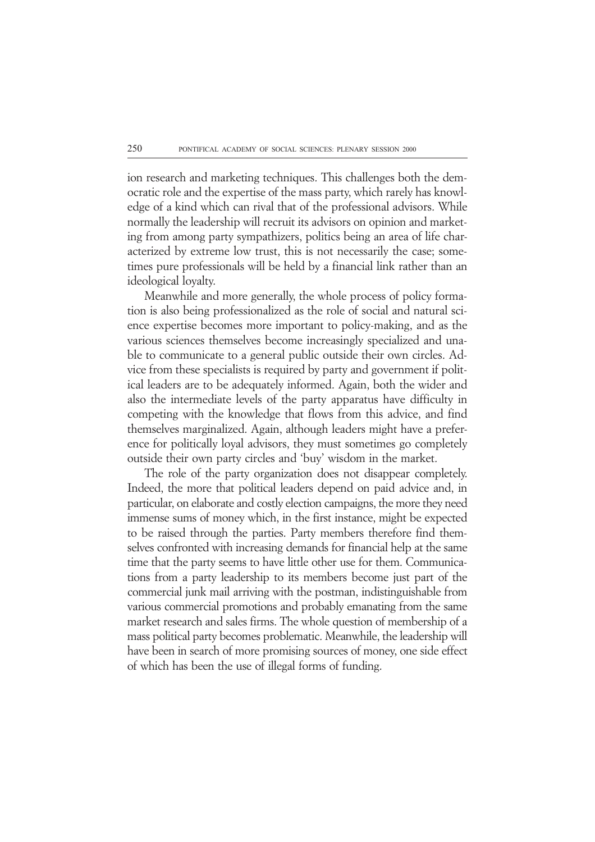ion research and marketing techniques. This challenges both the democratic role and the expertise of the mass party, which rarely has knowledge of a kind which can rival that of the professional advisors. While normally the leadership will recruit its advisors on opinion and marketing from among party sympathizers, politics being an area of life characterized by extreme low trust, this is not necessarily the case; sometimes pure professionals will be held by a financial link rather than an ideological loyalty.

Meanwhile and more generally, the whole process of policy formation is also being professionalized as the role of social and natural science expertise becomes more important to policy-making, and as the various sciences themselves become increasingly specialized and unable to communicate to a general public outside their own circles. Advice from these specialists is required by party and government if political leaders are to be adequately informed. Again, both the wider and also the intermediate levels of the party apparatus have difficulty in competing with the knowledge that flows from this advice, and find themselves marginalized. Again, although leaders might have a preference for politically loyal advisors, they must sometimes go completely outside their own party circles and 'buy' wisdom in the market.

The role of the party organization does not disappear completely. Indeed, the more that political leaders depend on paid advice and, in particular, on elaborate and costly election campaigns, the more they need immense sums of money which, in the first instance, might be expected to be raised through the parties. Party members therefore find themselves confronted with increasing demands for financial help at the same time that the party seems to have little other use for them. Communications from a party leadership to its members become just part of the commercial junk mail arriving with the postman, indistinguishable from various commercial promotions and probably emanating from the same market research and sales firms. The whole question of membership of a mass political party becomes problematic. Meanwhile, the leadership will have been in search of more promising sources of money, one side effect of which has been the use of illegal forms of funding.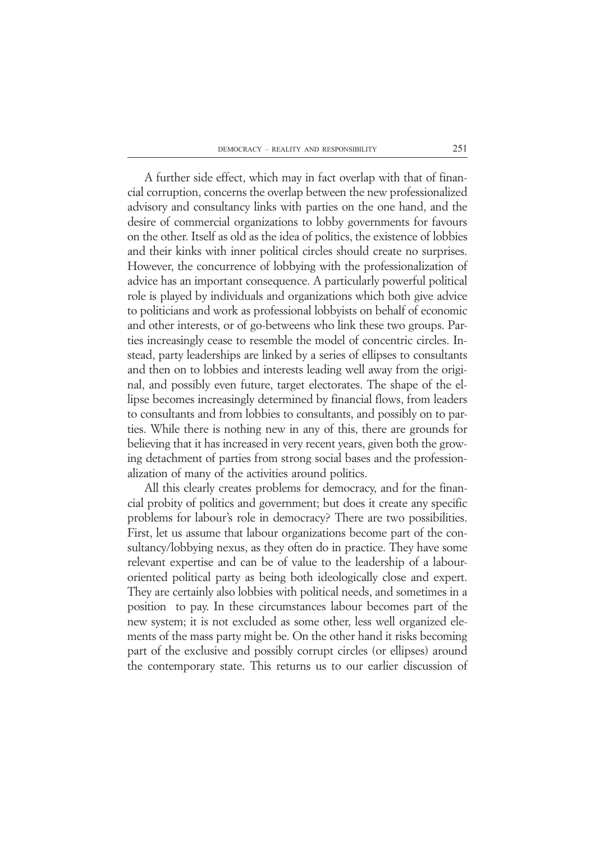A further side effect, which may in fact overlap with that of financial corruption, concerns the overlap between the new professionalized advisory and consultancy links with parties on the one hand, and the desire of commercial organizations to lobby governments for favours on the other. Itself as old as the idea of politics, the existence of lobbies and their kinks with inner political circles should create no surprises. However, the concurrence of lobbying with the professionalization of advice has an important consequence. A particularly powerful political role is played by individuals and organizations which both give advice to politicians and work as professional lobbyists on behalf of economic and other interests, or of go-betweens who link these two groups. Parties increasingly cease to resemble the model of concentric circles. Instead, party leaderships are linked by a series of ellipses to consultants and then on to lobbies and interests leading well away from the original, and possibly even future, target electorates. The shape of the ellipse becomes increasingly determined by financial flows, from leaders to consultants and from lobbies to consultants, and possibly on to parties. While there is nothing new in any of this, there are grounds for believing that it has increased in very recent years, given both the growing detachment of parties from strong social bases and the professionalization of many of the activities around politics.

All this clearly creates problems for democracy, and for the financial probity of politics and government; but does it create any specific problems for labour's role in democracy? There are two possibilities. First, let us assume that labour organizations become part of the consultancy/lobbying nexus, as they often do in practice. They have some relevant expertise and can be of value to the leadership of a labouroriented political party as being both ideologically close and expert. They are certainly also lobbies with political needs, and sometimes in a position to pay. In these circumstances labour becomes part of the new system; it is not excluded as some other, less well organized elements of the mass party might be. On the other hand it risks becoming part of the exclusive and possibly corrupt circles (or ellipses) around the contemporary state. This returns us to our earlier discussion of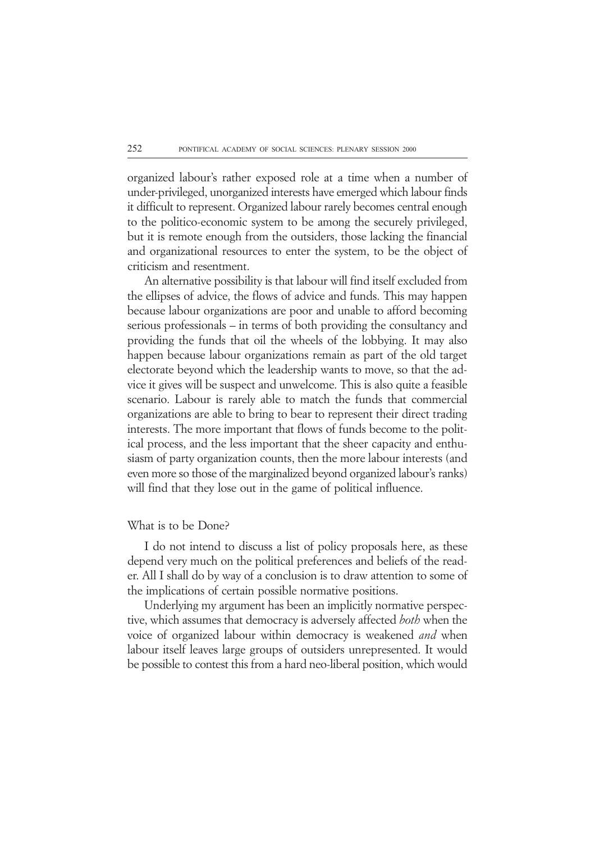organized labour's rather exposed role at a time when a number of under-privileged, unorganized interests have emerged which labour finds it difficult to represent. Organized labour rarely becomes central enough to the politico-economic system to be among the securely privileged, but it is remote enough from the outsiders, those lacking the financial and organizational resources to enter the system, to be the object of criticism and resentment.

An alternative possibility is that labour will find itself excluded from the ellipses of advice, the flows of advice and funds. This may happen because labour organizations are poor and unable to afford becoming serious professionals – in terms of both providing the consultancy and providing the funds that oil the wheels of the lobbying. It may also happen because labour organizations remain as part of the old target electorate beyond which the leadership wants to move, so that the advice it gives will be suspect and unwelcome. This is also quite a feasible scenario. Labour is rarely able to match the funds that commercial organizations are able to bring to bear to represent their direct trading interests. The more important that flows of funds become to the political process, and the less important that the sheer capacity and enthusiasm of party organization counts, then the more labour interests (and even more so those of the marginalized beyond organized labour's ranks) will find that they lose out in the game of political influence.

#### What is to be Done?

I do not intend to discuss a list of policy proposals here, as these depend very much on the political preferences and beliefs of the reader. All I shall do by way of a conclusion is to draw attention to some of the implications of certain possible normative positions.

Underlying my argument has been an implicitly normative perspective, which assumes that democracy is adversely affected *both* when the voice of organized labour within democracy is weakened *and* when labour itself leaves large groups of outsiders unrepresented. It would be possible to contest this from a hard neo-liberal position, which would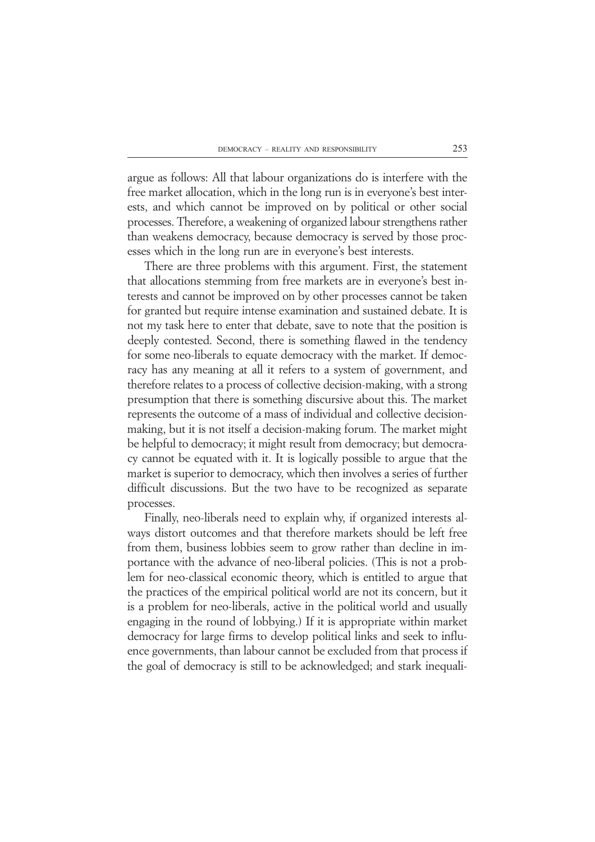argue as follows: All that labour organizations do is interfere with the free market allocation, which in the long run is in everyone's best interests, and which cannot be improved on by political or other social processes. Therefore, a weakening of organized labour strengthens rather than weakens democracy, because democracy is served by those processes which in the long run are in everyone's best interests.

There are three problems with this argument. First, the statement that allocations stemming from free markets are in everyone's best interests and cannot be improved on by other processes cannot be taken for granted but require intense examination and sustained debate. It is not my task here to enter that debate, save to note that the position is deeply contested. Second, there is something flawed in the tendency for some neo-liberals to equate democracy with the market. If democracy has any meaning at all it refers to a system of government, and therefore relates to a process of collective decision-making, with a strong presumption that there is something discursive about this. The market represents the outcome of a mass of individual and collective decisionmaking, but it is not itself a decision-making forum. The market might be helpful to democracy; it might result from democracy; but democracy cannot be equated with it. It is logically possible to argue that the market is superior to democracy, which then involves a series of further difficult discussions. But the two have to be recognized as separate processes.

Finally, neo-liberals need to explain why, if organized interests always distort outcomes and that therefore markets should be left free from them, business lobbies seem to grow rather than decline in importance with the advance of neo-liberal policies. (This is not a problem for neo-classical economic theory, which is entitled to argue that the practices of the empirical political world are not its concern, but it is a problem for neo-liberals, active in the political world and usually engaging in the round of lobbying.) If it is appropriate within market democracy for large firms to develop political links and seek to influence governments, than labour cannot be excluded from that process if the goal of democracy is still to be acknowledged; and stark inequali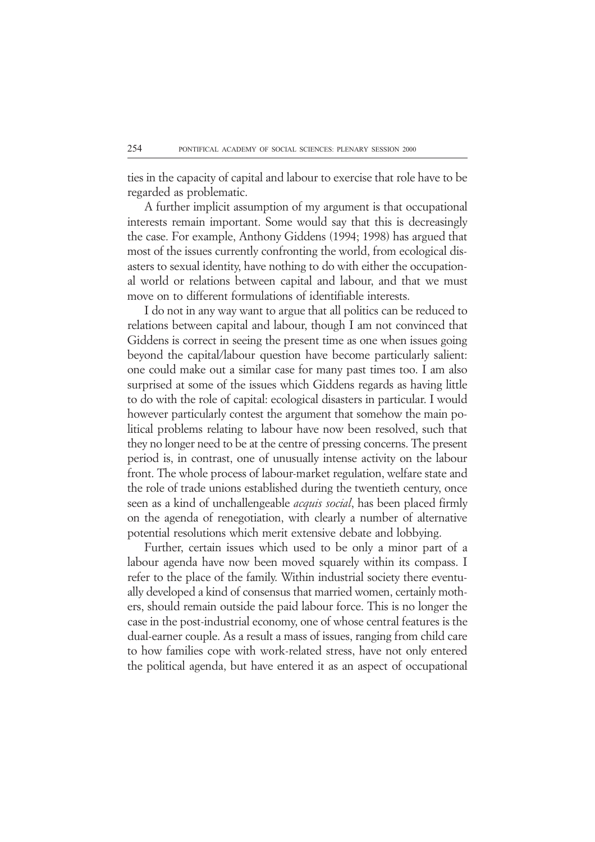ties in the capacity of capital and labour to exercise that role have to be regarded as problematic.

A further implicit assumption of my argument is that occupational interests remain important. Some would say that this is decreasingly the case. For example, Anthony Giddens (1994; 1998) has argued that most of the issues currently confronting the world, from ecological disasters to sexual identity, have nothing to do with either the occupational world or relations between capital and labour, and that we must move on to different formulations of identifiable interests.

I do not in any way want to argue that all politics can be reduced to relations between capital and labour, though I am not convinced that Giddens is correct in seeing the present time as one when issues going beyond the capital/labour question have become particularly salient: one could make out a similar case for many past times too. I am also surprised at some of the issues which Giddens regards as having little to do with the role of capital: ecological disasters in particular. I would however particularly contest the argument that somehow the main political problems relating to labour have now been resolved, such that they no longer need to be at the centre of pressing concerns. The present period is, in contrast, one of unusually intense activity on the labour front. The whole process of labour-market regulation, welfare state and the role of trade unions established during the twentieth century, once seen as a kind of unchallengeable *acquis social*, has been placed firmly on the agenda of renegotiation, with clearly a number of alternative potential resolutions which merit extensive debate and lobbying.

Further, certain issues which used to be only a minor part of a labour agenda have now been moved squarely within its compass. I refer to the place of the family. Within industrial society there eventually developed a kind of consensus that married women, certainly mothers, should remain outside the paid labour force. This is no longer the case in the post-industrial economy, one of whose central features is the dual-earner couple. As a result a mass of issues, ranging from child care to how families cope with work-related stress, have not only entered the political agenda, but have entered it as an aspect of occupational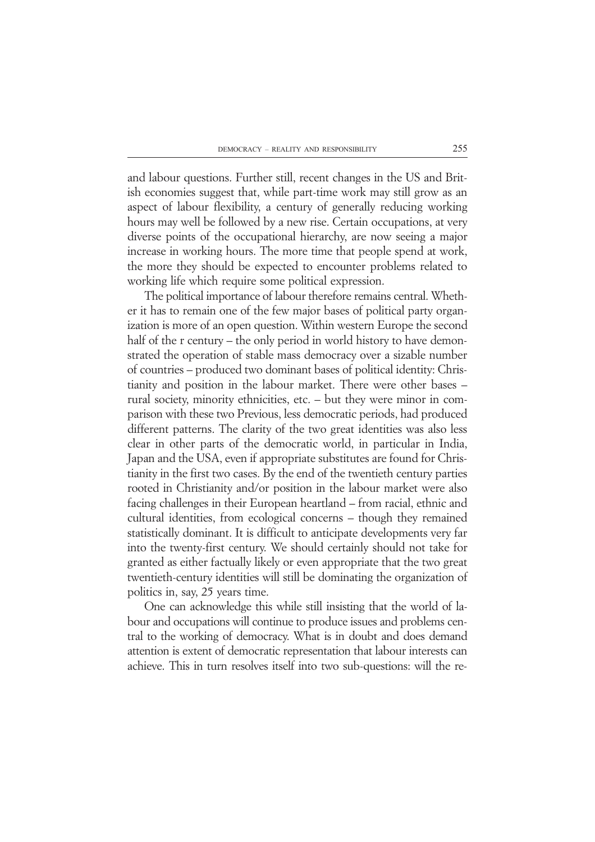and labour questions. Further still, recent changes in the US and British economies suggest that, while part-time work may still grow as an aspect of labour flexibility, a century of generally reducing working hours may well be followed by a new rise. Certain occupations, at very diverse points of the occupational hierarchy, are now seeing a major increase in working hours. The more time that people spend at work, the more they should be expected to encounter problems related to working life which require some political expression.

The political importance of labour therefore remains central. Whether it has to remain one of the few major bases of political party organization is more of an open question. Within western Europe the second half of the r century – the only period in world history to have demonstrated the operation of stable mass democracy over a sizable number of countries – produced two dominant bases of political identity: Christianity and position in the labour market. There were other bases – rural society, minority ethnicities, etc. – but they were minor in comparison with these two Previous, less democratic periods, had produced different patterns. The clarity of the two great identities was also less clear in other parts of the democratic world, in particular in India, Japan and the USA, even if appropriate substitutes are found for Christianity in the first two cases. By the end of the twentieth century parties rooted in Christianity and/or position in the labour market were also facing challenges in their European heartland – from racial, ethnic and cultural identities, from ecological concerns – though they remained statistically dominant. It is difficult to anticipate developments very far into the twenty-first century. We should certainly should not take for granted as either factually likely or even appropriate that the two great twentieth-century identities will still be dominating the organization of politics in, say, 25 years time.

One can acknowledge this while still insisting that the world of labour and occupations will continue to produce issues and problems central to the working of democracy. What is in doubt and does demand attention is extent of democratic representation that labour interests can achieve. This in turn resolves itself into two sub-questions: will the re